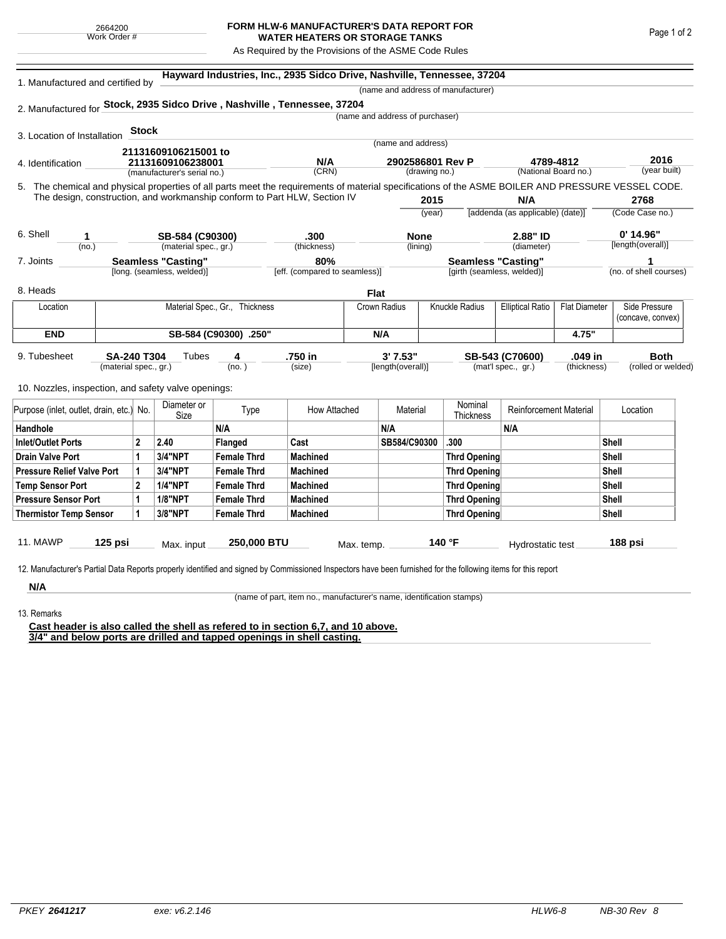## **FORM HLW-6 MANUFACTURER'S DATA REPORT FOR WATER HEATERS OR STORAGE TANKS**

As Required by the Provisions of the ASME Code Rules

|                                                                           |                       |                       |                                    | Hayward Industries, Inc., 2935 Sidco Drive, Nashville, Tennessee, 37204                                                                            |                               |                  |                                 |                       |                               |                                                 |                   |              |                        |  |  |
|---------------------------------------------------------------------------|-----------------------|-----------------------|------------------------------------|----------------------------------------------------------------------------------------------------------------------------------------------------|-------------------------------|------------------|---------------------------------|-----------------------|-------------------------------|-------------------------------------------------|-------------------|--------------|------------------------|--|--|
| 1. Manufactured and certified by                                          |                       |                       | (name and address of manufacturer) |                                                                                                                                                    |                               |                  |                                 |                       |                               |                                                 |                   |              |                        |  |  |
|                                                                           |                       |                       |                                    | 2. Manufactured for Stock, 2935 Sidco Drive, Nashville, Tennessee, 37204                                                                           |                               |                  |                                 |                       |                               |                                                 |                   |              |                        |  |  |
|                                                                           |                       |                       |                                    |                                                                                                                                                    |                               |                  | (name and address of purchaser) |                       |                               |                                                 |                   |              |                        |  |  |
| 3. Location of Installation                                               |                       | <b>Stock</b>          |                                    |                                                                                                                                                    |                               |                  |                                 |                       |                               |                                                 |                   |              |                        |  |  |
|                                                                           |                       |                       | 21131609106215001 to               |                                                                                                                                                    |                               |                  | (name and address)              |                       |                               |                                                 |                   |              |                        |  |  |
| 4. Identification                                                         | 21131609106238001     |                       |                                    | N/A                                                                                                                                                |                               | 2902586801 Rev P |                                 |                       | 4789-4812                     | 2016                                            |                   |              |                        |  |  |
|                                                                           |                       |                       | (manufacturer's serial no.)        |                                                                                                                                                    | (CRN)                         |                  | (drawing no.)                   |                       |                               | (National Board no.)                            |                   |              | (year built)           |  |  |
|                                                                           |                       |                       |                                    | 5. The chemical and physical properties of all parts meet the requirements of material specifications of the ASME BOILER AND PRESSURE VESSEL CODE. |                               |                  |                                 |                       |                               |                                                 |                   |              |                        |  |  |
| The design, construction, and workmanship conform to Part HLW, Section IV |                       |                       |                                    |                                                                                                                                                    |                               |                  | 2015                            |                       |                               | N/A                                             |                   | 2768         |                        |  |  |
|                                                                           |                       |                       |                                    |                                                                                                                                                    |                               |                  |                                 | (year)                |                               | [addenda (as applicable) (date)]                |                   |              | (Code Case no.)        |  |  |
| 6. Shell<br>1                                                             |                       |                       | SB-584 (C90300)                    |                                                                                                                                                    | .300                          |                  | <b>None</b>                     |                       |                               | 2.88" ID                                        |                   |              | $0'$ 14.96"            |  |  |
| (no.)                                                                     |                       | (material spec., gr.) |                                    | (thickness)                                                                                                                                        |                               | (lining)         |                                 |                       | (diameter)                    |                                                 | [length(overall)] |              |                        |  |  |
| <b>Seamless "Casting"</b><br>7. Joints                                    |                       |                       |                                    |                                                                                                                                                    | 80%                           |                  |                                 |                       | <b>Seamless "Casting"</b>     |                                                 |                   | 1            |                        |  |  |
|                                                                           |                       |                       | [long. (seamless, welded)]         |                                                                                                                                                    | [eff. (compared to seamless)] |                  |                                 |                       | [girth (seamless, welded)]    |                                                 |                   |              | (no. of shell courses) |  |  |
| 8. Heads                                                                  |                       |                       |                                    |                                                                                                                                                    |                               | <b>Flat</b>      |                                 |                       |                               |                                                 |                   |              |                        |  |  |
| Location                                                                  |                       |                       |                                    | Material Spec., Gr., Thickness                                                                                                                     |                               | Crown Radius     |                                 | <b>Knuckle Radius</b> |                               | <b>Elliptical Ratio</b><br><b>Flat Diameter</b> |                   |              | Side Pressure          |  |  |
|                                                                           |                       |                       |                                    |                                                                                                                                                    |                               |                  |                                 |                       |                               |                                                 |                   |              | (concave, convex)      |  |  |
| <b>END</b><br>SB-584 (C90300) .250"                                       |                       |                       |                                    |                                                                                                                                                    |                               | N/A              |                                 |                       | 4.75"                         |                                                 |                   |              |                        |  |  |
| 9. Tubesheet                                                              | <b>SA-240 T304</b>    |                       | Tubes                              | 4                                                                                                                                                  | .750 in                       |                  | 3'7.53"                         |                       |                               | SB-543 (C70600)                                 | .049 in           |              | <b>Both</b>            |  |  |
|                                                                           | (material spec., gr.) |                       |                                    | (no. )                                                                                                                                             | (size)                        |                  | [length(overall)]               |                       |                               | (mat'l spec., gr.)                              | (thickness)       |              | (rolled or welded)     |  |  |
|                                                                           |                       |                       |                                    |                                                                                                                                                    |                               |                  |                                 |                       |                               |                                                 |                   |              |                        |  |  |
| 10. Nozzles, inspection, and safety valve openings:                       |                       |                       |                                    |                                                                                                                                                    |                               |                  |                                 |                       |                               |                                                 |                   |              |                        |  |  |
| Purpose (inlet, outlet, drain, etc.) No.                                  |                       | Diameter or<br>Size   | Type                               | How Attached                                                                                                                                       |                               | Material         |                                 | Nominal<br>Thickness  | <b>Reinforcement Material</b> |                                                 | Location          |              |                        |  |  |
| Handhole                                                                  |                       |                       |                                    | N/A                                                                                                                                                |                               |                  | N/A                             |                       |                               | N/A                                             |                   |              |                        |  |  |
| <b>Inlet/Outlet Ports</b>                                                 |                       | $\mathbf{2}$          | 2.40                               | Flanged                                                                                                                                            | Cast                          |                  | SB584/C90300                    |                       | .300                          |                                                 |                   | <b>Shell</b> |                        |  |  |
| Drain Valve Port                                                          |                       | 1                     | 3/4"NPT                            | <b>Female Thrd</b>                                                                                                                                 | <b>Machined</b>               |                  |                                 |                       | <b>Thrd Opening</b>           |                                                 |                   | Shell        |                        |  |  |
| <b>Pressure Relief Valve Port</b>                                         |                       | 1                     | <b>3/4"NPT</b>                     | <b>Female Thrd</b>                                                                                                                                 | <b>Machined</b>               |                  |                                 |                       | <b>Thrd Opening</b>           |                                                 |                   | <b>Shell</b> |                        |  |  |
| <b>Temp Sensor Port</b>                                                   |                       | $\mathbf{2}$          | <b>1/4"NPT</b>                     | <b>Female Thrd</b>                                                                                                                                 | <b>Machined</b>               |                  |                                 |                       | <b>Thrd Opening</b>           |                                                 |                   | <b>Shell</b> |                        |  |  |
| <b>Pressure Sensor Port</b>                                               |                       | 1                     | <b>1/8"NPT</b>                     | <b>Female Thrd</b>                                                                                                                                 | <b>Machined</b>               |                  |                                 |                       | <b>Thrd Opening</b>           |                                                 |                   |              | Shell                  |  |  |
| <b>Thermistor Temp Sensor</b>                                             | 1                     | 3/8"NPT               | <b>Female Thrd</b>                 | <b>Machined</b>                                                                                                                                    |                               |                  |                                 | <b>Thrd Opening</b>   |                               | <b>Shell</b>                                    |                   |              |                        |  |  |
|                                                                           |                       |                       |                                    |                                                                                                                                                    |                               |                  |                                 |                       |                               |                                                 |                   |              |                        |  |  |
|                                                                           |                       |                       |                                    |                                                                                                                                                    |                               |                  |                                 |                       |                               |                                                 |                   |              |                        |  |  |

**N/A** 13. Remarks

(name of part, item no., manufacturer's name, identification stamps)

**Cast header is also called the shell as refered to in section 6,7, and 10 above. 3/4" and below ports are drilled and tapped openings in shell casting.**